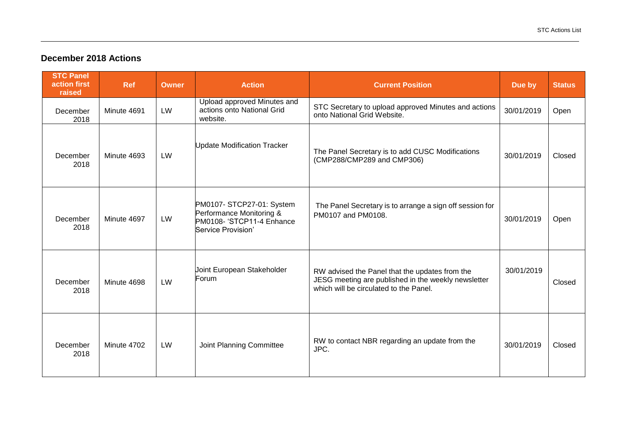## **December 2018 Actions**

| <b>STC Panel</b><br>action first<br>raised | <b>Ref</b>  | <b>Owner</b> | <b>Action</b>                                                                                            | <b>Current Position</b>                                                                                                                         | Due by     | <b>Status</b> |
|--------------------------------------------|-------------|--------------|----------------------------------------------------------------------------------------------------------|-------------------------------------------------------------------------------------------------------------------------------------------------|------------|---------------|
| December<br>2018                           | Minute 4691 | LW           | Upload approved Minutes and<br>actions onto National Grid<br>website.                                    | STC Secretary to upload approved Minutes and actions<br>onto National Grid Website.                                                             | 30/01/2019 | Open          |
| December<br>2018                           | Minute 4693 | LW           | <b>Update Modification Tracker</b>                                                                       | The Panel Secretary is to add CUSC Modifications<br>(CMP288/CMP289 and CMP306)                                                                  | 30/01/2019 | Closed        |
| December<br>2018                           | Minute 4697 | LW           | PM0107- STCP27-01: System<br>Performance Monitoring &<br>PM0108- 'STCP11-4 Enhance<br>Service Provision' | The Panel Secretary is to arrange a sign off session for<br>PM0107 and PM0108.                                                                  | 30/01/2019 | Open          |
| December<br>2018                           | Minute 4698 | LW           | Joint European Stakeholder<br>Forum                                                                      | RW advised the Panel that the updates from the<br>JESG meeting are published in the weekly newsletter<br>which will be circulated to the Panel. | 30/01/2019 | Closed        |
| December<br>2018                           | Minute 4702 | LW           | Joint Planning Committee                                                                                 | RW to contact NBR regarding an update from the<br>JPC.                                                                                          | 30/01/2019 | Closed        |